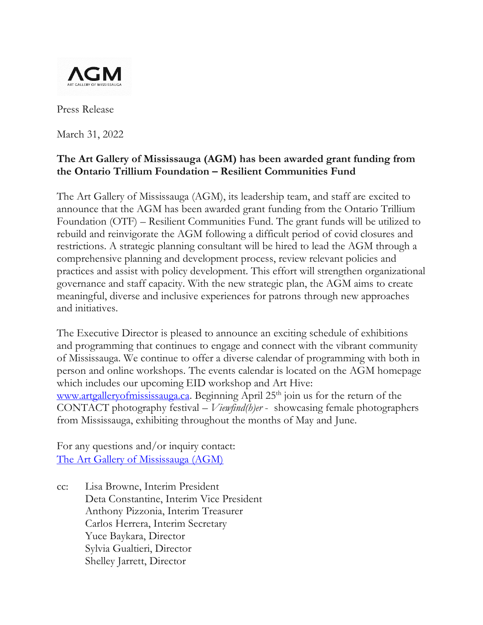

Press Release

March 31, 2022

## **The Art Gallery of Mississauga (AGM) has been awarded grant funding from the Ontario Trillium Foundation – Resilient Communities Fund**

The Art Gallery of Mississauga (AGM), its leadership team, and staff are excited to announce that the AGM has been awarded grant funding from the Ontario Trillium Foundation (OTF) – Resilient Communities Fund. The grant funds will be utilized to rebuild and reinvigorate the AGM following a difficult period of covid closures and restrictions. A strategic planning consultant will be hired to lead the AGM through a comprehensive planning and development process, review relevant policies and practices and assist with policy development. This effort will strengthen organizational governance and staff capacity. With the new strategic plan, the AGM aims to create meaningful, diverse and inclusive experiences for patrons through new approaches and initiatives.

The Executive Director is pleased to announce an exciting schedule of exhibitions and programming that continues to engage and connect with the vibrant community of Mississauga. We continue to offer a diverse calendar of programming with both in person and online workshops. The events calendar is located on the AGM homepage which includes our upcoming EID workshop and Art Hive: [www.artgalleryofmississauga.ca.](http://www.artgalleryofmississauga.ca/) Beginning April  $25<sup>th</sup>$  join us for the return of the CONTACT photography festival – *Viewfind(h)er* - showcasing female photographers from Mississauga, exhibiting throughout the months of May and June.

For any questions and/or inquiry contact: [The Art Gallery of Mississauga \(AGM\)](mailto:agm.connect@mississauga.ca)

cc: Lisa Browne, Interim President Deta Constantine, Interim Vice President Anthony Pizzonia, Interim Treasurer Carlos Herrera, Interim Secretary Yuce Baykara, Director Sylvia Gualtieri, Director Shelley Jarrett, Director